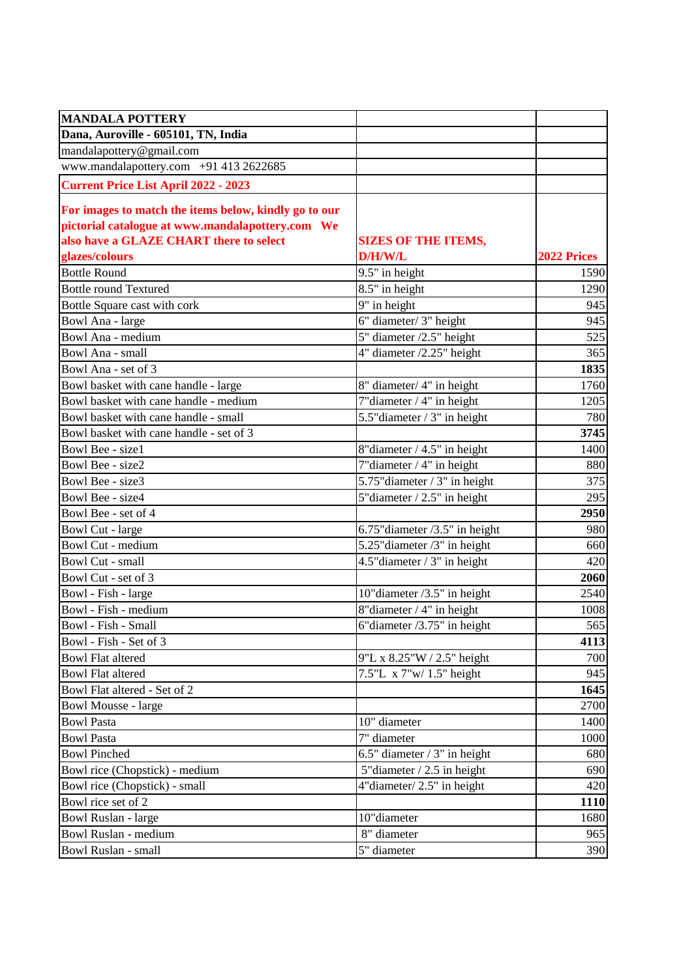| <b>MANDALA POTTERY</b>                                |                                   |                    |
|-------------------------------------------------------|-----------------------------------|--------------------|
| Dana, Auroville - 605101, TN, India                   |                                   |                    |
| mandalapottery@gmail.com                              |                                   |                    |
| www.mandalapottery.com +91 413 2622685                |                                   |                    |
| <b>Current Price List April 2022 - 2023</b>           |                                   |                    |
| For images to match the items below, kindly go to our |                                   |                    |
| pictorial catalogue at www.mandalapottery.com We      |                                   |                    |
| also have a GLAZE CHART there to select               | <b>SIZES OF THE ITEMS,</b>        |                    |
| glazes/colours                                        | D/H/W/L                           | <b>2022 Prices</b> |
| <b>Bottle Round</b>                                   | 9.5" in height                    | 1590               |
| <b>Bottle round Textured</b>                          | 8.5" in height                    | 1290               |
| Bottle Square cast with cork                          | 9" in height                      | 945                |
| Bowl Ana - large                                      | 6" diameter/ 3" height            | 945                |
| Bowl Ana - medium                                     | 5" diameter /2.5" height          | 525                |
| Bowl Ana - small                                      | $4"$ diameter $/2.25"$ height     | 365                |
| Bowl Ana - set of 3                                   |                                   | 1835               |
| Bowl basket with cane handle - large                  | 8" diameter/ 4" in height         | 1760               |
| Bowl basket with cane handle - medium                 | 7"diameter / 4" in height         | 1205               |
| Bowl basket with cane handle - small                  | 5.5" diameter / 3" in height      | 780                |
| Bowl basket with cane handle - set of 3               |                                   | 3745               |
| Bowl Bee - size1                                      | 8"diameter / 4.5" in height       | 1400               |
| Bowl Bee - size2                                      | $7$ "diameter / 4" in height      | 880                |
| Bowl Bee - size3                                      | 5.75" diameter / 3" in height     | 375                |
| Bowl Bee - size4                                      | 5" diameter $/ 2.5$ " in height   | 295                |
| Bowl Bee - set of 4                                   |                                   | 2950               |
| <b>Bowl Cut - large</b>                               | 6.75" diameter $/3.5$ " in height | 980                |
| Bowl Cut - medium                                     | 5.25" diameter /3" in height      | 660                |
| Bowl Cut - small                                      | 4.5" diameter / 3" in height      | 420                |
| Bowl Cut - set of 3                                   |                                   | 2060               |
| Bowl - Fish - large                                   | 10" diameter /3.5" in height      | 2540               |
| Bowl - Fish - medium                                  | 8"diameter / 4" in height         | 1008               |
| Bowl - Fish - Small                                   | $6"$ diameter /3.75" in height    | 565                |
| Bowl - Fish - Set of 3                                |                                   | 4113               |
| <b>Bowl Flat altered</b>                              | 9"L x 8.25"W / 2.5" height        | 700                |
| <b>Bowl Flat altered</b>                              | 7.5"L $\bar{x}$ 7"w/ 1.5" height  | 945                |
| Bowl Flat altered - Set of 2                          |                                   | 1645               |
| <b>Bowl Mousse - large</b>                            |                                   | 2700               |
| <b>Bowl Pasta</b>                                     | 10" diameter                      | 1400               |
| <b>Bowl Pasta</b>                                     | 7" diameter                       | 1000               |
| <b>Bowl Pinched</b>                                   | 6.5" diameter $/3$ " in height    | 680                |
| Bowl rice (Chopstick) - medium                        | 5" diameter / 2.5 in height       | 690                |
| Bowl rice (Chopstick) - small                         | $4$ "diameter/ 2.5" in height     | 420                |
| Bowl rice set of 2                                    |                                   | 1110               |
| <b>Bowl Ruslan - large</b>                            | 10"diameter                       | 1680               |
| Bowl Ruslan - medium                                  | 8" diameter                       | 965                |
| Bowl Ruslan - small                                   | 5" diameter                       | 390                |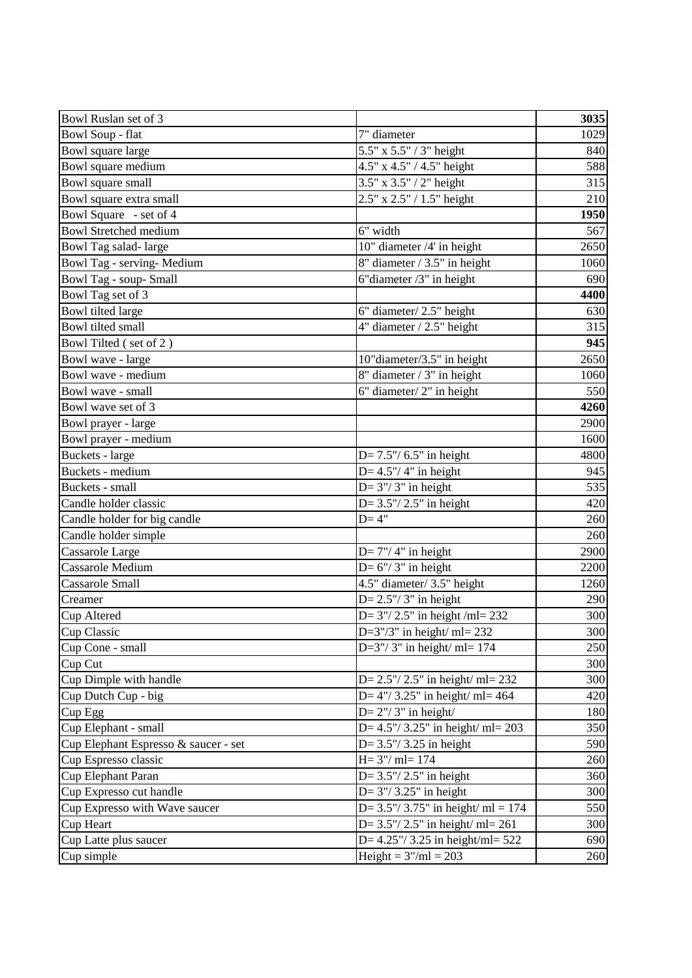| Bowl Ruslan set of 3                 |                                       | 3035 |
|--------------------------------------|---------------------------------------|------|
| <b>Bowl Soup - flat</b>              | 7" diameter                           | 1029 |
| Bowl square large                    | 5.5" x 5.5" / 3" height               | 840  |
| Bowl square medium                   | 4.5" x 4.5" / 4.5" height             | 588  |
| Bowl square small                    | 3.5" x 3.5" / 2" height               | 315  |
| Bowl square extra small              | 2.5" x 2.5" / 1.5" height             | 210  |
| Bowl Square - set of 4               |                                       | 1950 |
| <b>Bowl Stretched medium</b>         | 6" width                              | 567  |
| Bowl Tag salad-large                 | 10" diameter /4' in height            | 2650 |
| Bowl Tag - serving- Medium           | 8" diameter / 3.5" in height          | 1060 |
| Bowl Tag - soup-Small                | $6"$ diameter /3" in height           | 690  |
| Bowl Tag set of 3                    |                                       | 4400 |
| Bowl tilted large                    | 6" diameter/2.5" height               | 630  |
| Bowl tilted small                    | $4^{\circ}$ diameter / 2.5" height    | 315  |
| Bowl Tilted (set of 2)               |                                       | 945  |
| Bowl wave - large                    | 10"diameter/3.5" in height            | 2650 |
| Bowl wave - medium                   | $8"$ diameter / 3" in height          | 1060 |
| Bowl wave - small                    | 6" diameter/2" in height              | 550  |
| Bowl wave set of 3                   |                                       | 4260 |
| Bowl prayer - large                  |                                       | 2900 |
| Bowl prayer - medium                 |                                       | 1600 |
| Buckets - large                      | $D = 7.5'' / 6.5''$ in height         | 4800 |
| Buckets - medium                     | D= $4.5$ "/ $4$ " in height           | 945  |
| Buckets - small                      | $D=3''/3''$ in height                 | 535  |
| Candle holder classic                | $D = 3.5''/ 2.5''$ in height          | 420  |
| Candle holder for big candle         | $D=4"$                                | 260  |
| Candle holder simple                 |                                       | 260  |
| Cassarole Large                      | $D=7''/4''$ in height                 | 2900 |
| Cassarole Medium                     | D= $6''/3''$ in height                | 2200 |
| <b>Cassarole Small</b>               | 4.5" diameter/3.5" height             | 1260 |
| Creamer                              | $D=2.5''/3''$ in height               | 290  |
| Cup Altered                          | D= $3''/ 2.5''$ in height /ml= 232    | 300  |
| Cup Classic                          | D= $3''/3''$ in height/ ml= 232       | 300  |
| Cup Cone - small                     | D= $3''/3''$ in height/ ml= 174       | 250  |
| Cup Cut                              |                                       | 300  |
| Cup Dimple with handle               | D= $2.5''/ 2.5''$ in height/ ml= 232  | 300  |
| Cup Dutch Cup - big                  | D= $4''/3.25''$ in height/ ml= 464    | 420  |
| Cup Egg                              | $D=2''/3''$ in height/                | 180  |
| Cup Elephant - small                 | D= $4.5''/3.25''$ in height/ ml= 203  | 350  |
| Cup Elephant Espresso & saucer - set | $D = 3.5'' / 3.25$ in height          | 590  |
| Cup Espresso classic                 | $H = 3''/$ ml= 174                    | 260  |
| Cup Elephant Paran                   | $D = 3.5''/ 2.5''$ in height          | 360  |
| Cup Expresso cut handle              | D= $3''/3.25''$ in height             | 300  |
| Cup Expresso with Wave saucer        | D= $3.5''/3.75''$ in height/ ml = 174 | 550  |
| Cup Heart                            | D= $3.5''/2.5''$ in height/ ml= 261   | 300  |
| Cup Latte plus saucer                | D= $4.25''/3.25$ in height/ml= $522$  | 690  |
| Cup simple                           | Height = $3''/ml = 203$               | 260  |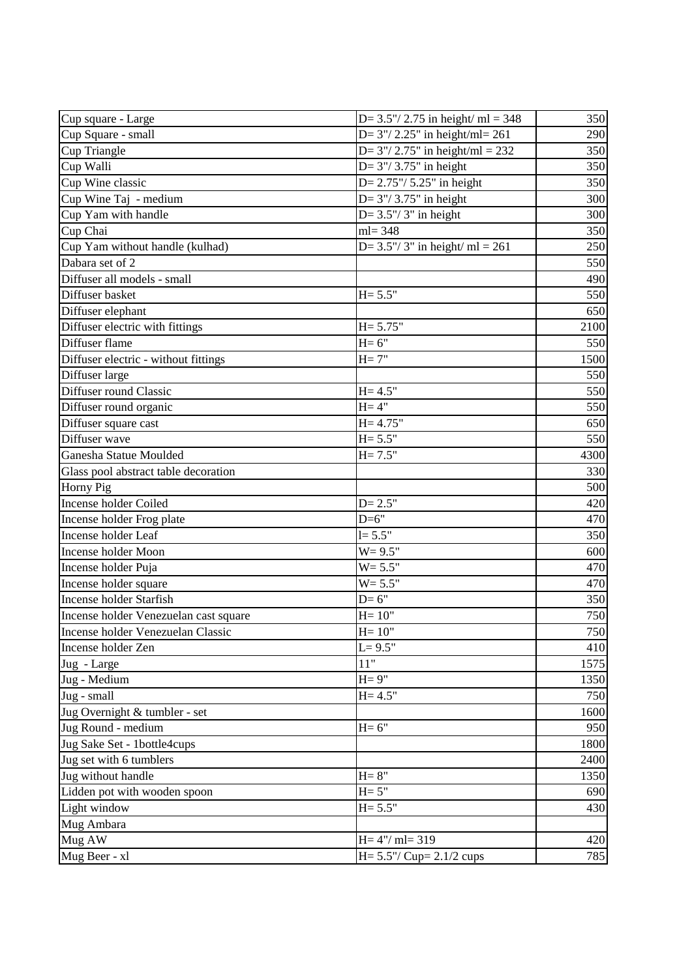| Cup square - Large                    | D= $3.5''/ 2.75$ in height/ ml = 348  | 350  |
|---------------------------------------|---------------------------------------|------|
| Cup Square - small                    | D= $3''/ 2.25''$ in height/ml= 261    | 290  |
| Cup Triangle                          | D= $3''/ 2.75''$ in height/ml = $232$ | 350  |
| Cup Walli                             | D= $3''/3.75''$ in height             | 350  |
| Cup Wine classic                      | $D = 2.75'' / 5.25''$ in height       | 350  |
| Cup Wine Taj - medium                 | D= $3''/3.75''$ in height             | 300  |
| Cup Yam with handle                   | D= $3.5''/3''$ in height              | 300  |
| Cup Chai                              | $ml = 348$                            | 350  |
| Cup Yam without handle (kulhad)       | D= $3.5''/3''$ in height/ ml = 261    | 250  |
| Dabara set of 2                       |                                       | 550  |
| Diffuser all models - small           |                                       | 490  |
| Diffuser basket                       | $H = 5.5"$                            | 550  |
| Diffuser elephant                     |                                       | 650  |
| Diffuser electric with fittings       | $H = 5.75"$                           | 2100 |
| Diffuser flame                        | $H=6"$                                | 550  |
| Diffuser electric - without fittings  | $H = 7"$                              | 1500 |
| Diffuser large                        |                                       | 550  |
| Diffuser round Classic                | $H = 4.5"$                            | 550  |
| Diffuser round organic                | $H = 4"$                              | 550  |
| Diffuser square cast                  | $H = 4.75"$                           | 650  |
| Diffuser wave                         | $H = 5.5"$                            | 550  |
| Ganesha Statue Moulded                | $H = 7.5"$                            | 4300 |
| Glass pool abstract table decoration  |                                       | 330  |
| Horny Pig                             |                                       | 500  |
| Incense holder Coiled                 | $D = 2.5"$                            | 420  |
| Incense holder Frog plate             | $D=6"$                                | 470  |
| Incense holder Leaf                   | $l = 5.5"$                            | 350  |
| <b>Incense holder Moon</b>            | $W = 9.5"$                            | 600  |
| Incense holder Puja                   | $W = 5.5"$                            | 470  |
| Incense holder square                 | $W = 5.5"$                            | 470  |
| <b>Incense holder Starfish</b>        | $D=6"$                                | 350  |
| Incense holder Venezuelan cast square | $H = 10"$                             | 750  |
| Incense holder Venezuelan Classic     | $H = 10"$                             | 750  |
| Incense holder Zen                    | $L = 9.5"$                            | 410  |
| Jug - Large                           | 11"                                   | 1575 |
| Jug - Medium                          | $H = 9"$                              | 1350 |
| Jug - small                           | $H = 4.5"$                            | 750  |
| Jug Overnight & tumbler - set         |                                       | 1600 |
| Jug Round - medium                    | $H=6"$                                | 950  |
| Jug Sake Set - 1bottle4cups           |                                       | 1800 |
| Jug set with 6 tumblers               |                                       | 2400 |
| Jug without handle                    | $H = 8"$                              | 1350 |
| Lidden pot with wooden spoon          | $H = 5"$                              | 690  |
| Light window                          | $H = 5.5"$                            | 430  |
| Mug Ambara                            |                                       |      |
| Mug AW                                | $H = 4''/$ ml= 319                    | 420  |
| Mug Beer - xl                         | $H = 5.5'' / Cup = 2.1/2 cups$        | 785  |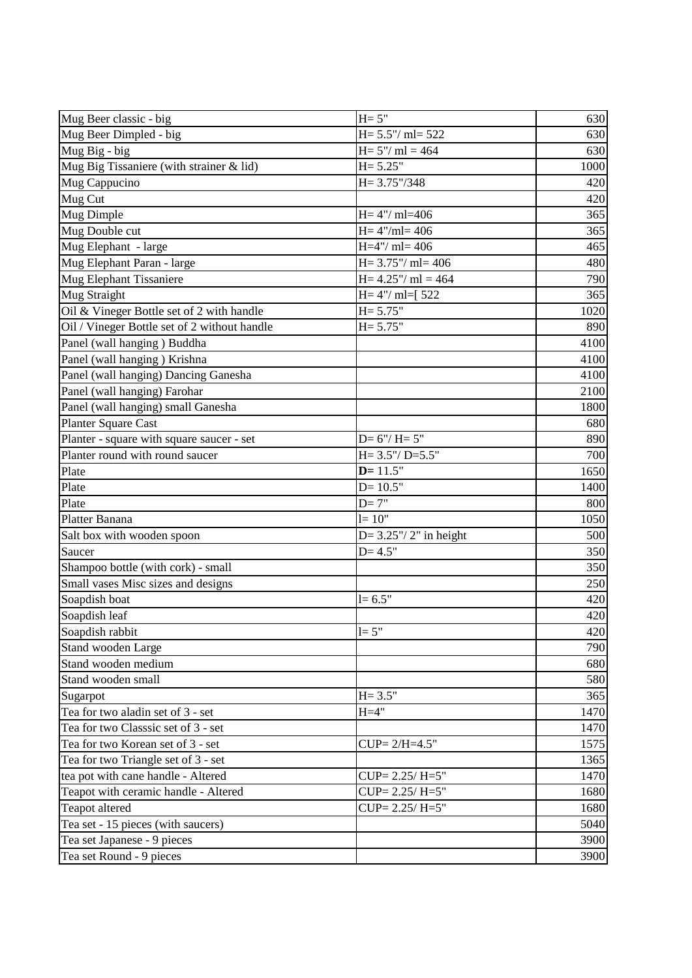| Mug Beer classic - big                       | $H = 5"$                    | 630  |
|----------------------------------------------|-----------------------------|------|
| Mug Beer Dimpled - big                       | $H = 5.5''/$ ml= 522        | 630  |
| Mug Big - big                                | $H = 5''/ml = 464$          | 630  |
| Mug Big Tissaniere (with strainer & lid)     | $H = 5.25"$                 | 1000 |
| Mug Cappucino                                | $H = 3.75''/348$            | 420  |
| Mug Cut                                      |                             | 420  |
| Mug Dimple                                   | $H = 4''/m = 406$           | 365  |
| Mug Double cut                               | $H = 4''/ml = 406$          | 365  |
| Mug Elephant - large                         | $H=4''/m=406$               | 465  |
| Mug Elephant Paran - large                   | $H = 3.75''/$ ml= 406       | 480  |
| Mug Elephant Tissaniere                      | $H = 4.25''/ ml = 464$      | 790  |
| Mug Straight                                 | $H = 4''/ ml = [522]$       | 365  |
| Oil & Vineger Bottle set of 2 with handle    | $H = 5.75"$                 | 1020 |
| Oil / Vineger Bottle set of 2 without handle | $H = 5.75"$                 | 890  |
| Panel (wall hanging) Buddha                  |                             | 4100 |
| Panel (wall hanging) Krishna                 |                             | 4100 |
| Panel (wall hanging) Dancing Ganesha         |                             | 4100 |
| Panel (wall hanging) Farohar                 |                             | 2100 |
| Panel (wall hanging) small Ganesha           |                             | 1800 |
| Planter Square Cast                          |                             | 680  |
| Planter - square with square saucer - set    | $D=6''/H=5''$               | 890  |
| Planter round with round saucer              | $H = 3.5''/ D = 5.5''$      | 700  |
| Plate                                        | $D = 11.5"$                 | 1650 |
| Plate                                        | $D = 10.5"$                 | 1400 |
| Plate                                        | $D=7"$                      | 800  |
| Platter Banana                               | $l = 10"$                   | 1050 |
| Salt box with wooden spoon                   | $D = 3.25''/ 2''$ in height | 500  |
| Saucer                                       | $D = 4.5"$                  | 350  |
| Shampoo bottle (with cork) - small           |                             | 350  |
| Small vases Misc sizes and designs           |                             | 250  |
| Soapdish boat                                | $l = 6.5"$                  | 420  |
| Soapdish leaf                                |                             | 420  |
| Soapdish rabbit                              | $l = 5"$                    | 420  |
| Stand wooden Large                           |                             | 790  |
| Stand wooden medium                          |                             | 680  |
| Stand wooden small                           |                             | 580  |
| Sugarpot                                     | $H = 3.5"$                  | 365  |
| Tea for two aladin set of 3 - set            | $H=4"$                      | 1470 |
| Tea for two Classsic set of 3 - set          |                             | 1470 |
| Tea for two Korean set of 3 - set            | $CUP = 2/H = 4.5"$          | 1575 |
| Tea for two Triangle set of 3 - set          |                             | 1365 |
| tea pot with cane handle - Altered           | $CUP = 2.25/H = 5"$         | 1470 |
| Teapot with ceramic handle - Altered         | $CUP = 2.25/H = 5"$         | 1680 |
| Teapot altered                               | $CUP = 2.25/H = 5"$         | 1680 |
| Tea set - 15 pieces (with saucers)           |                             | 5040 |
| Tea set Japanese - 9 pieces                  |                             | 3900 |
|                                              |                             | 3900 |
| Tea set Round - 9 pieces                     |                             |      |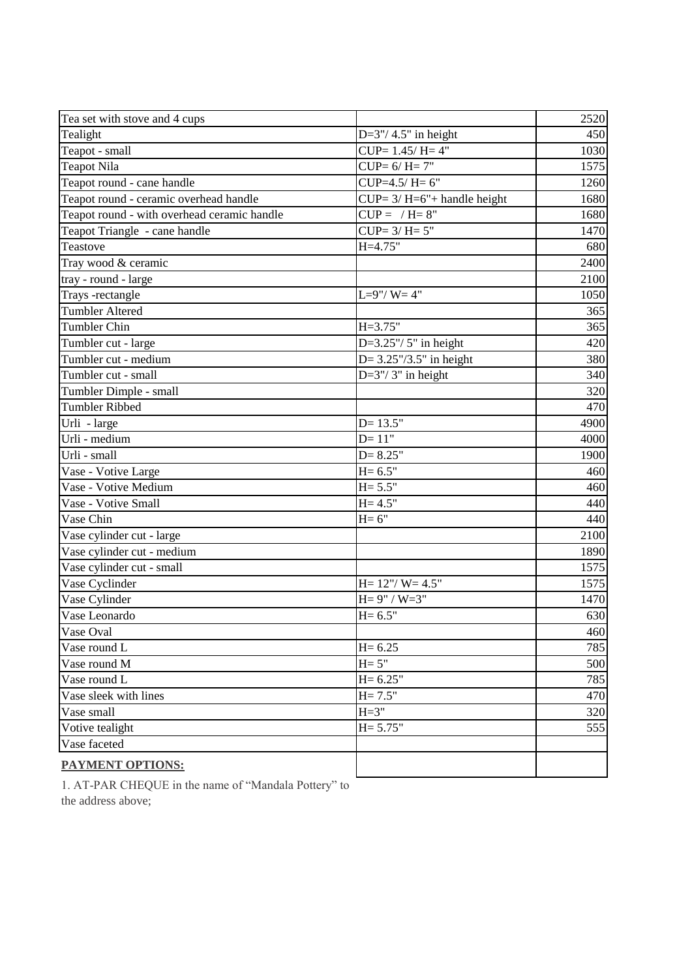| Tea set with stove and 4 cups               |                                  | 2520 |
|---------------------------------------------|----------------------------------|------|
| Tealight                                    | D= $3''/4.5''$ in height         | 450  |
| Teapot - small                              | $CUP = 1.45/H = 4"$              | 1030 |
| <b>Teapot Nila</b>                          | $CUP = 6/H = 7"$                 | 1575 |
| Teapot round - cane handle                  | $CUP=4.5/H=6"$                   | 1260 |
| Teapot round - ceramic overhead handle      | $CUP = 3/H = 6" + handle height$ | 1680 |
| Teapot round - with overhead ceramic handle | $CUP = / H = 8"$                 | 1680 |
| Teapot Triangle - cane handle               | $CUP=3/H=5"$                     | 1470 |
| Teastove                                    | $H = 4.75"$                      | 680  |
| Tray wood & ceramic                         |                                  | 2400 |
| tray - round - large                        |                                  | 2100 |
| Trays -rectangle                            | $L=9''/ W=4''$                   | 1050 |
| <b>Tumbler Altered</b>                      |                                  | 365  |
| <b>Tumbler Chin</b>                         | $H = 3.75"$                      | 365  |
| Tumbler cut - large                         | D= $3.25$ "/ $5$ " in height     | 420  |
| Tumbler cut - medium                        | $D = 3.25''/3.5''$ in height     | 380  |
| Tumbler cut - small                         | $D=3''/3''$ in height            | 340  |
| Tumbler Dimple - small                      |                                  | 320  |
| <b>Tumbler Ribbed</b>                       |                                  | 470  |
| Urli - large                                | $D = 13.5"$                      | 4900 |
| Urli - medium                               | $D = 11"$                        | 4000 |
| Urli - small                                | $D = 8.25"$                      | 1900 |
| Vase - Votive Large                         | $H = 6.5"$                       | 460  |
| Vase - Votive Medium                        | $H = 5.5"$                       | 460  |
| Vase - Votive Small                         | $H = 4.5"$                       | 440  |
| Vase Chin                                   | $H=6"$                           | 440  |
| Vase cylinder cut - large                   |                                  | 2100 |
| Vase cylinder cut - medium                  |                                  | 1890 |
| Vase cylinder cut - small                   |                                  | 1575 |
| Vase Cyclinder                              | $H = 12''/ W = 4.5''$            | 1575 |
| Vase Cylinder                               | $H = 9" / W = 3"$                | 1470 |
| Vase Leonardo                               | $H = 6.5"$                       | 630  |
| Vase Oval                                   |                                  | 460  |
| Vase round L                                | $H = 6.25$                       | 785  |
| Vase round M                                | $H = 5"$                         | 500  |
| Vase round L                                | $H = 6.25"$                      | 785  |
| Vase sleek with lines                       | $H = 7.5"$                       | 470  |
| Vase small                                  | $H = 3"$                         | 320  |
| Votive tealight                             | $H = 5.75"$                      | 555  |
| Vase faceted                                |                                  |      |
| <b>PAYMENT OPTIONS:</b>                     |                                  |      |

1. AT-PAR CHEQUE in the name of "Mandala Pottery" to the address above;